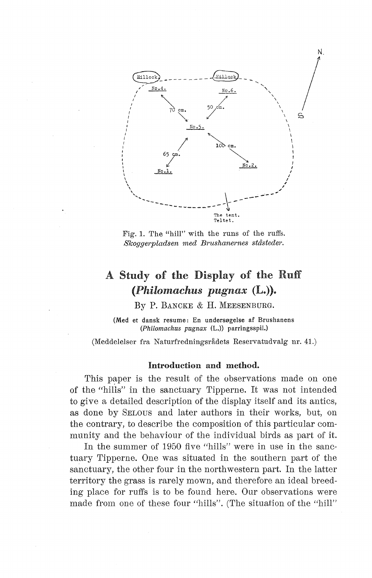

Fig. 1. The "hill" with the runs of the ruffs.  $Skoggerpladsen med Brushanernes ståsteder.$ 

# A Study of the Display of the Ruff *(Philomachus pugnax* (L.) ).

BY P. BANCKE & H. MEESENBURG.

(Med et dansk resume: En undersøgelse af Brushanens (Philomachus pugnax (L.)) parringsspil.)

(Meddelelser fra Naturfredningsrådets Reservatudvalg nr. 41.)

#### Introduction and method.

This paper is the result of the observations made on one of the "hills" in the sanctuary Tipperne. It was not intended to give a detailed description of the display itself and its antics, as done by SELOUS and later authors in their works, but, on the contrary, to describe the composition of this particular community and the behaviour of the individual birds as part of it.

In the summer of 1950 five "hills" were in use in the sanctuary Tipperne. One was situated in the southern part of the sanctuary, the other four in the northwestern part. In the latter territory the grass is rarely mown, and therefore an ideal breeding place for ruffs is to be found here. Our observations were made from one of these four "hills". (The situation of the "hill"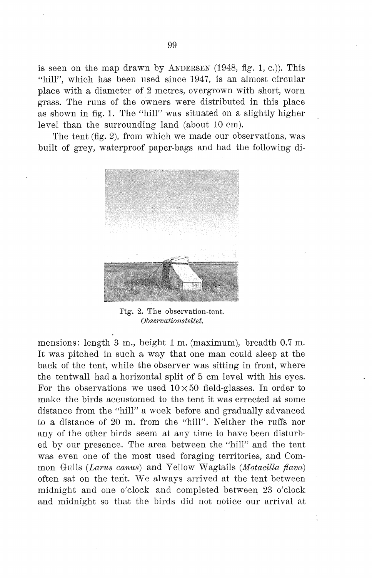is seen on the map drawn by ANDERSEN  $(1948, fig. 1, c.)$ ). This "hill", which has been used since 1947, is an almost circular place with a diameter of 2 metres, overgrown with short, worn grass. The runs of the owners were distributed in this place as shown in fig. 1. The "hill" was situated on a slightly higher level than the surrounding land (about 10 cm).

The tent (fig. 2), from which we made our observations, was built of grey, waterproof paper-bags and had the following di-



Fig. 2. The observation-tent. *Observationsteltet.* 

mensions: length 3 m., height 1 m. (maximum), breadth 0.7 m. It was pitched in such a way that one man could sleep at the back of the tent, while the observer was sitting in front, where the tentwall had a horizontal split of 5 cm level with his eyes. For the observations we used  $10\times50$  field-glasses. In order to make the hirds accustomed to the tent it was errected at some distance from the "hill" a week before and gradually advanced to a distance of 20 m. from the "hill". Neither the ruffs nor any of the other hirds seem at any time to have been disturbed by our presence. The area between the "hill" and the tent was even one of the most used foraging territories, and Common Gulls *(Larus canus)* and Yellow Wagtails *(Motacilla fiava)*  often sat on the tent. We always arrived at the tent between midnight and one o'clock and completed between 23 o'clock and midnight so that the birds did not notice our arrival at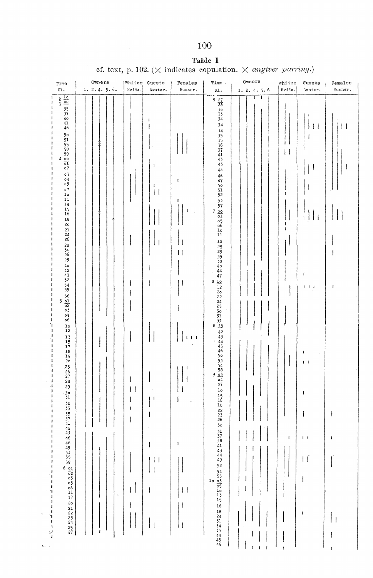## 100

## Table I

cf. text, p. 102. ( $\times$  indicates copulation.  $\times$  angiver parring.)

| Time<br>Kl.                                                                                                                                                                                                                                                                                                                                                                                                                                                                                                                                                                                                                                                                                                                                                                                                                         | Owners<br>1.2.4.5.6 | Whites<br>Guests<br>Hvide.<br>Gæster.                                                                                                                                                                                                              | Pemales<br>Hunner.                                                                                          | Time.<br>ĸı.                                                                                                                                                                                                                                                                                                                                                                                                                                                                                                                 | Owners<br>1.2.4.5.6                                                              | Whites<br>Hvide.                                       | Guests<br>Gæster.                                                                                                                         | Pemales<br>Hunner.                              |
|-------------------------------------------------------------------------------------------------------------------------------------------------------------------------------------------------------------------------------------------------------------------------------------------------------------------------------------------------------------------------------------------------------------------------------------------------------------------------------------------------------------------------------------------------------------------------------------------------------------------------------------------------------------------------------------------------------------------------------------------------------------------------------------------------------------------------------------|---------------------|----------------------------------------------------------------------------------------------------------------------------------------------------------------------------------------------------------------------------------------------------|-------------------------------------------------------------------------------------------------------------|------------------------------------------------------------------------------------------------------------------------------------------------------------------------------------------------------------------------------------------------------------------------------------------------------------------------------------------------------------------------------------------------------------------------------------------------------------------------------------------------------------------------------|----------------------------------------------------------------------------------|--------------------------------------------------------|-------------------------------------------------------------------------------------------------------------------------------------------|-------------------------------------------------|
| $\frac{2}{3} \frac{10}{35}$<br>$\frac{35}{37}$<br>40<br>41<br>46<br>50<br>51<br>55<br>58<br>59<br>59<br>50<br>01<br>02<br>03<br><b>o4</b><br>٥5<br>$^{\circ}$<br>$1\circ$<br>11<br>14<br>$\frac{15}{16}$<br>$18\,$<br>20<br>21<br>24<br>26<br>28<br>30<br>36<br>39<br>$4\,$<br>42<br>43<br>52<br>54<br>55<br>$56$<br>$5 \frac{01}{02}$<br>$03$<br>07<br>оθ<br>$_{\rm lo}$<br>12<br>$\frac{13}{15}$<br>17<br>18<br>$\frac{19}{20}$<br>$25$<br>$26$<br>$27$<br>$\frac{28}{29}$<br>1<br>л<br>303333574443<br>46<br>48<br>49<br>55<br>55<br>59<br>6<br>1<br>οZ<br>11<br>03<br>ł<br>$05$<br>$06$<br>$11$<br>ł<br>J,<br>ı<br>$\bf{17}$<br>1<br>2 <sub>o</sub><br>$\pmb{\cdot}$<br>$\begin{array}{c} 21 \\ 22 \\ 23 \\ 24 \\ 24 \\ 25 \\ 27 \end{array}$<br>ı<br>٦<br>$\pmb{\cdot}$<br>$\pmb{\mathfrak{t}}$<br>y)<br>¥<br>$\sum_{i=1}^{n}$ | $\bar{\theta}$      | 1<br>$\pmb{\mathsf{I}}$<br>$\mathbf{I}$<br>$\vert \vert$<br>Ħ<br>ł<br>$\mathbf{1}$<br>I<br>$\mathbf{I}$<br>$\lceil$<br>$\mathbf{I}$<br>I<br>1<br>1<br>$\vert \vert$<br>$\vert \vert$<br>$\mathsf{I}$<br>$\overline{\phantom{a}}$<br>   <br>$\perp$ | t<br>ı<br>1<br>l I<br>11<br>I<br>İ<br>Н<br>$1 - 1 - 1$<br>J<br>ł<br>$\mathbf{I}$<br>$\vert \vert$<br>J<br>Ħ | $rac{27}{28}$<br>$rac{37}{28}$<br>$rac{33}{24}$<br>$\begin{array}{c} 1\, \text{o} \\ 1\, \text{l} \end{array}$<br>12<br>25<br>29<br>35<br>38<br>44<br>47<br>8<br>10<br>$\frac{12}{20}$<br>2245611354444446675483147<br>$_{\tt lo}$<br>$\begin{array}{c} 15 \\ 16 \\ 22 \\ 23 \\ 26 \end{array}$<br>30 <sub>o</sub><br>31<br>37<br>38<br>41<br>43<br>44<br>49<br>52<br>54<br>$\frac{55}{20}$<br>$\frac{03}{20}$<br>$\frac{05}{20}$<br>$\frac{1}{20}$<br>15<br>$16\,$<br>$18\,$<br>24<br>31<br>34<br>35<br>44<br>45<br>46<br>J | ī<br>$\mathbf{I}$<br>I<br>ł<br>I<br>ł<br>$\pmb{\mathsf{i}}$<br>1<br>$\mathbf{I}$ | $\vert \vert$<br>÷<br>f<br>ı<br>ı<br>$\mathbf{I}$<br>I | $\vert \vert$<br>ł<br>$  _1$<br>ł<br>$1 + 1$<br>t<br>$\mathbf{I}$<br>ı<br>I<br>$1 - 1$<br>$\overline{11}$<br>$\mathsf{l}$<br>$\mathbf{I}$ | $\vert \vert$<br>ı<br>ı<br>$\vert$ $\vert$<br>ł |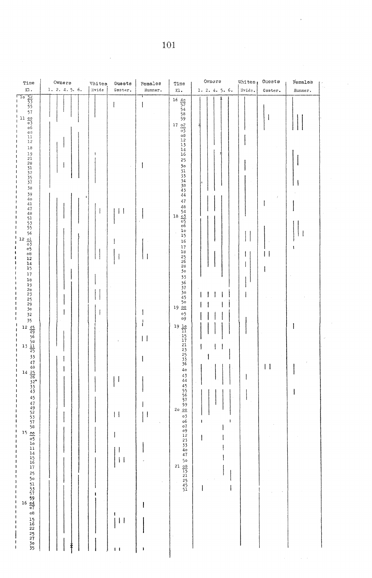| Time                                                                                                                                                                                                                                                                                                                                                                                                                                                                                                                                                                                                                                                  | Owners     | Whites | Guests                                                                                                                                    | Females                                                                  | Time                                                                                                                                                                                                                                                                                                                                                                                                                                                                                                                                                                                                                                                                                                | Owners                                                                                                                                                                                                                                                                                                                                                                                                                      | Whites, | Guests                                                     | Females |  |
|-------------------------------------------------------------------------------------------------------------------------------------------------------------------------------------------------------------------------------------------------------------------------------------------------------------------------------------------------------------------------------------------------------------------------------------------------------------------------------------------------------------------------------------------------------------------------------------------------------------------------------------------------------|------------|--------|-------------------------------------------------------------------------------------------------------------------------------------------|--------------------------------------------------------------------------|-----------------------------------------------------------------------------------------------------------------------------------------------------------------------------------------------------------------------------------------------------------------------------------------------------------------------------------------------------------------------------------------------------------------------------------------------------------------------------------------------------------------------------------------------------------------------------------------------------------------------------------------------------------------------------------------------------|-----------------------------------------------------------------------------------------------------------------------------------------------------------------------------------------------------------------------------------------------------------------------------------------------------------------------------------------------------------------------------------------------------------------------------|---------|------------------------------------------------------------|---------|--|
| $\mathtt{K1}$ .                                                                                                                                                                                                                                                                                                                                                                                                                                                                                                                                                                                                                                       | 1.2.4.5.6. | Hvide  | Gæster.                                                                                                                                   | Hunner.                                                                  | Kl.                                                                                                                                                                                                                                                                                                                                                                                                                                                                                                                                                                                                                                                                                                 | 1.2.4.5.6.                                                                                                                                                                                                                                                                                                                                                                                                                  | Hvide.  | Gæster.                                                    | Hunner. |  |
| $\frac{52}{53}$<br>55<br>57<br>1 <sub>o</sub><br>$rac{11}{0} \frac{00}{0}$<br>о6<br>$\mathbf{0} \, \mathbf{S}$<br>$11\,$<br>12<br>$18\,$<br>19<br>21<br>28332537<br>38<br>39<br>40<br>41<br>47<br>48<br>$\frac{51}{53}$<br>$\frac{56}{20}$<br>12 $\frac{01}{05}$<br>05<br>$08$<br>$12$<br>$\frac{14}{15}$<br>$17\,$<br>$18\,$<br>19<br>$\frac{20}{23}$<br>25<br>29<br>30<br>32<br>35<br>12 $\frac{45}{49}$<br>56 58<br>58 13 $\frac{11}{25}$<br>33<br>47<br>485<br>22<br>33<br>44<br>44<br>495<br>53<br>57<br>58<br>57<br>58<br>$\frac{15}{\frac{00}{10}} \frac{1}{10}$<br>11<br>14<br>15<br>16<br>17<br>16<br>15<br>16<br>22<br>25<br>27<br>30<br>35 | ł          | ł<br>ı | $\hat{\mathbf{v}}$<br>$\vert \vert$<br>ł<br>$\blacksquare$<br>$\vert \vert$<br>I<br>$\vert \vert$<br>ŧ<br>$\vert \ \vert$<br>$\mathbf{1}$ | $\mathbf{I}$<br>$\vert \ \vert$<br>I<br>ı<br>$\mathsf{H}$<br>ï<br>ł<br>I | $\begin{array}{r}\n 16 \ \frac{40}{52} \\  \hline\n 54 \\  54 \\  58 \\  59 \\  \hline\n 10\n \end{array}$<br>$\frac{17}{03}$<br>$08$<br>$12$<br>13<br>14<br>$16\,$<br>25<br>30<br>$333$<br>$33$<br>$\frac{38}{43}$<br>44<br>47<br>$^{48}_{54}$<br>$18 \frac{03}{05}$<br>$06$<br>$1\,\mathrm{o}$<br>15<br>16<br>17<br>18<br>25<br>26<br>28<br>30<br>33<br>36<br>37<br>38<br>45<br>50<br>1900<br>05<br>09<br>$\begin{array}{r} 19 \ \frac{10}{11} \\ 15 \\ 17 \\ 17 \\ 21 \end{array}$<br>21<br>235536<br>40<br>43<br>44<br>45<br>556759<br>2000<br>03<br>о6<br>$^{\circ}$<br>$\circ$ 9<br>12<br>$\frac{23}{33}$<br>$\frac{33}{40}$<br>47<br>5 <sup>°</sup><br>$rac{21}{15}$<br>21<br>25<br>45<br>51 | $\mathbf{I}$<br>л<br>ł,<br>$\mathbf{I}$<br>$\begin{array}{c} \rule{0pt}{2.5ex} \rule{0pt}{2.5ex} \rule{0pt}{2.5ex} \rule{0pt}{2.5ex} \rule{0pt}{2.5ex} \rule{0pt}{2.5ex} \rule{0pt}{2.5ex} \rule{0pt}{2.5ex} \rule{0pt}{2.5ex} \rule{0pt}{2.5ex} \rule{0pt}{2.5ex} \rule{0pt}{2.5ex} \rule{0pt}{2.5ex} \rule{0pt}{2.5ex} \rule{0pt}{2.5ex} \rule{0pt}{2.5ex} \rule{0pt}{2.5ex} \rule{0pt}{2.5ex} \rule{0pt}{2.5ex} \rule{0$ | 1<br>I  | $\mathbf{I}$<br>44<br>$\vert \vert$<br>$\bar{\phantom{a}}$ | I<br>J  |  |

 $\sim$ 

 $\bar{t}$ 

 $\sim$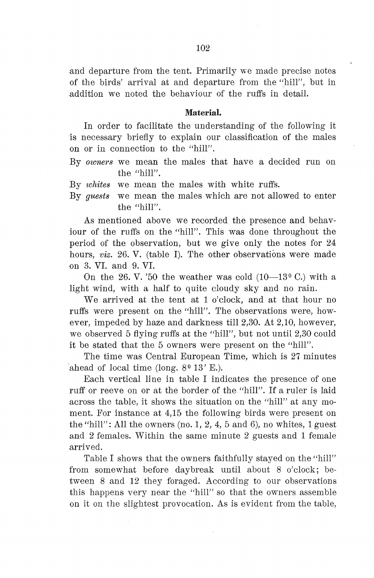and departure from the tent. Primarily we made precise notes of the hirds' arrival at and departure from the "hill", but in .addition we noted the behaviour of the ruffs in detail.

#### Material.

In order to facilitate the understanding of the following it is necessary briefly to explain our classification of the males on or in connection to the "hill".

By *owners* we mean the males that have a decided run on the "hill".

By *whites* we mean the males with white ruffs.

By *guests* we mean the males which are not allowed to enter the "hill".

As mentioned above we recorded the presence and behaviour of the ruffs on the "hill". This was done throughout the period of the observation, but we give only the notes for 24 hours, *viz.* 26. V. (table I). The other observations were made on 3. VI. and 9. VI.

On the 26. V. '50 the weather was cold  $(10-13^{\circ} \text{ C})$  with a light wind, with a half to quite cloudy sky and no rain.

We arrived at the tent at 1 o'clock, and at that hour no ruffs were present on the "hill". The observations were, however, impeded by haze and darkness till 2,30. At 2,10, however, we observed 5 flying ruffs at the "hill", but not until 2,30 could it be stated that the 5 owners were present on the "hill".

The time was Central European Time, which is 27 minutes ahead of local time (long.  $8^{\circ}$  13' E.).

Each vertical line in table I indicates the presence of one ruff or reeve on or at the border of the "hill". If a ruler is laid across the table, it shows the situation on the "hill" at any moment. For instance at 4,15 the following birds were present on the "hill": All the owners (no. 1, 2, 4, 5 and 6), no whites, 1 guest and 2 females. Within the same minute 2 guests and 1 female arrived.

Table I shows that the owners faithfully stayed on the "hill" from somewhat before daybreak until about 8 o'clock; between 8 and 12 they foraged. According to onr observations this happens very near the "hill" so that the owners assemble on it on the slightest provocation. As is evident from the table,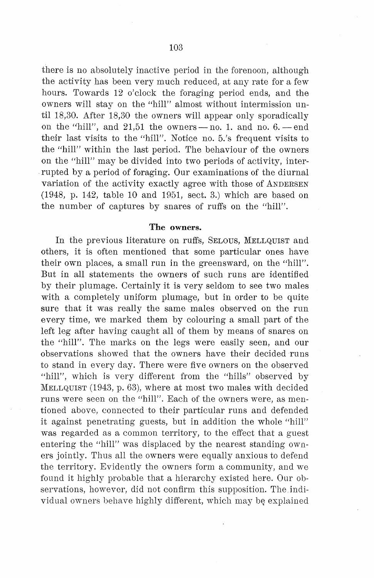there is no absolutely inactive period in the forenoon, although the activity has been very much reduced, at any rate for a few hours. Towards 12 o'clock the foraging period ends, and the owners will stay on the "hill" almost without intermission until 18,30. After 18,30 the owners will appear only sporadically on the "hill", and  $21.51$  the owners - no. 1. and no.  $6.$  - end their last visits to the "hill". Notice no. 5.'s frequent visits to the "hill" within the last period. The behaviour of the owners on the "hill" may be divided into two periods of activity, interrupted by a period of foraging. Our examinations of the diurnal variation of the activity exactly agree with those of ANDERSEN (1948, p. 142, table 10 and 1951, sect. 3.) which are based on the number of captures by snares of ruffs on the "hill".

#### The owners.

In the previous literature on ruffs, SELOUS, MELLQUIST and others, it is often mentioned that some particular ones have their own places, a small run in the greensward, on the "hill". But in all statements the owners of such runs are identified by their plumage. Certainly it is very seldom to see two males with a completely uniform plumage, but in order to be quite sure that it was really the same males observed on the run every time, we marked them by colouring a small part of the left leg after having caught all of them by means of snares on the "hill". The marks on the legs were easily seen, and our observations showed that the owners have their decided runs to stand in every day. There were five owners on the observed "hill", which is very different from the "hills" observed by MELLQUIST (1943, p. 63), where at most two males with decided runs were seen on the "hill". Each of the owners were, as mentioned above, connected to their particular runs and defended it against penetrating guests, but in addition the whole "hill" was regarded as a common territory, to the effect that a guest entering the "hill" was displaced by the nearest standing owners jointly. Thus all the owners were equally anxious to defend the territory. Evidently the owners form a community, and we found it highly probable that a hierarchy existed here. Our observations, however, did not confirm this supposition. The individual owners behave highly different, which may be explained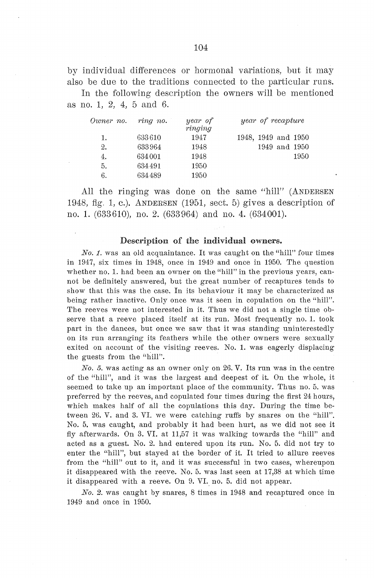by individual differences or hormonal variations, but it may also be due to the traditions connected to the particular runs.

In the following description the owners will be mentioned as no. 1, 2, 4, 5 and 6.

| Owner no. | ring no. | year of<br>ringing | year of recapture   |
|-----------|----------|--------------------|---------------------|
| 1.        | 633610   | 1947               | 1948, 1949 and 1950 |
| 2.        | 633964   | 1948               | 1949 and 1950       |
| 4.        | 634001   | 1948               | 1950                |
| 5.        | 634491   | 1950               |                     |
| 6.        | 634489   | 1950               |                     |

All the ringing was done on the same "hill" (ANDERSEN 1948, fig. 1, c.). ANDERSEN (1951, sect. 5) gives a description of no. 1. (633610), no. 2. (633964) and no. 4. (634001).

#### Description of the individual owners.

*No. 1.* was an old acquaintance. It was caught on the "hill" four times in 1947, six times in 1948, once in 1949 and once in 1950. The question whether no. 1. had been an owner on the "hill" in the previous years, cannot be definitely answered, but the great nurnber of recaptures tends to show that this was the case. In its behaviour it may be characterized as being rather inactive. Only once was it seen in copulation on the "hill". The reeves were not interested in it. Thus we did not a single time observe that a reeve placed itself at its run. Most frequently no. 1. took part in the dances, but once we saw that it was standing uninterestedly on its run arranging its feathers while the other owners were sexually exited on account of the visiting reeves. No. 1. was eagerly displacing the guests from the "hill".

*No. 5.* was acting as an owner only on 26. V. Its run was in the centre of the "hill", and it was the largest and deepest of it. On the whole, it seemed to take up an important place of the community. Thus no. 5, was preferred by the reeves, and copulated four times during the first 24 hours, which makes half of all the copulations this day. During the time between 26. V. and 3. VI. we were catching ruffs by snares on the "hill". No. 5. was caught, and probably it had been hurt, as we did not see it fly afterwards. On 3. VI. at 11,57 it was walking towards the "hill" and acted as a guest. No. 2. had entered upon its run. No. 5. did not try to enter the "hill", but stayed at the border of it. It tried to allure reeves from the "hill" out to it, and it was successful in two cases, whereupon it disappeared with the reeve. No. 5. was last seen at 17,38 at which time it disappeared with a reeve. On 9. VL no. 5. did not appear.

*No.* 2. was caught by snares, 8 times in 1948 and recaptured once in 1949 and once in 1950.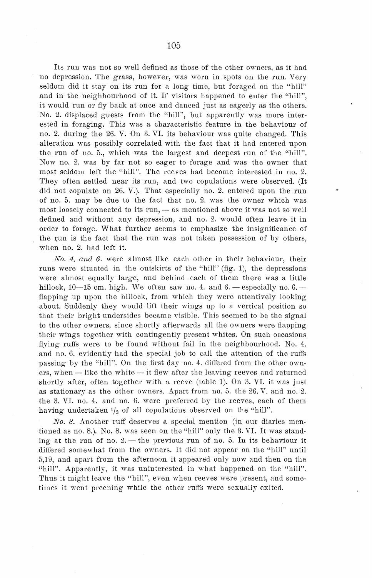Its run was not so well defined as those of the other owners, as it had no depression. The grass, however, was worn in spots on the run. Very seldom did it stay on its run for a long time, but foraged on the "hill" and in the neighbourhood of it. If visitors happened *to* enter the "hill", it would run or fly back at once and danced just as eagerly as the others. No. 2. displaced guests from the "hill", but apparently was more interested in foraging. This was a characteristic feature in the behaviour of no. 2. during the 26. V. On 3. VI. its behaviour was quite changed. This alteration was possibly correlated with the faet that it had entered upon the run of no. 5., which was the largest and deepest run of the "hill". Now no. 2. was by far not so eager to forage and was the owner that most seldom left the "hill". The reeves had become interested in no. 2. They often settled near its run, and two copulations were observed. (It did not copulate on 26. V.). That especially no. 2. entered upon the run of no. 5. may be due to the faet that no. 2. was the owner which was most loosely connected to its run, - as mentioned above it was not so well defined and without any depression, and no. 2. would often leave it in order to forage. What further seems to emphasize the insignificance of the run is the fact that the run was not taken possession of by others, when no. 2. had left it.

*No. 4. and 6.* were almost like each other in their behaviour, their runs were situated in the outskirts of the "hill" (fig. 1), the depressions were almost equally large, and behind each of them there was a little hillock,  $10-15$  cm. high. We often saw no. 4. and  $6.$  - especially no.  $6.$ flapping up upon the hillock, from which they were attentively looking about. Suddenly they would lift their wings up to a vertical position so that their bright undersides became visible. This seemed to be the signal to the other owners, since shortly afterwards all the owners were flapping their wings together with contingently present whites. On such occasions flying ruffs were to be found without fail in the neighbourhood. No. 4. and no. 6. evidently had the special job to call the attention of the ruffs passing by the "hill''. On the first day no. 4. differed from the other owners, when - like the white - it flew after the leaving reeves and returned shortly after, often together with a reeve (table 1). On 3. VI. it was just as stationary as the other ovvners. Apart from no. 5. the 26. V. and no. 2. the 3. VI. no. 4. and no. 6. were preferred by the reeves, each of them having undertaken  $\frac{1}{8}$  of all copulations observed on the "hill".

*No. 8.* Another ruff deserves a special mention (in our diaries mentioned as no. 8.). No. 8. was seen on the "hill" only the 3. VI. It was standing at the run of no.  $2$ . - the previous run of no. 5. In its behaviour it differed somewhat from the owners. It did not appear on the "hill" until 5,19, and apart from the afternoon it appeared only now and then on the "hill". Apparently, it was uninterested in what happened on the "hill". Thus it might leave the "hill", even when reeves were present, and sometimes it went preening while the other ruffs were sexually exited.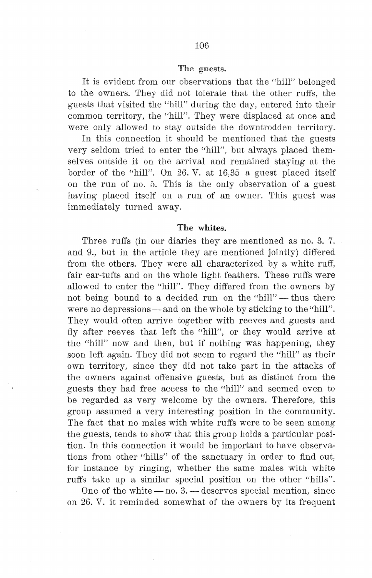#### The guests.

It is evident from our observations that the "hill" belonged to the owners. They did not tolerate that the other ruffs, the guests that visited the "hill" during the day, entered into their common territory, the "hill". They were displaced at once and were only allowed to stay outside the downtrodden territory.

In this connection it should be mentioned that the guests very seldom tried to enter the "hill", but always placed themselves outside it on the arrival and remained staying at the border of the "hill". On 26. V. at 16,35 a guest placed itself on the run of no. 5. This is the only observation of a guest having placed itself on a run of an owner. This guest was immediately turned away.

#### The whites.

Three ruffs (in our diaries they are mentioned as no. 3. 7. and 9., but in the article they are mentioned jointly) differed from the others. They were all characterized by a white ruff, fair ear-tufts and on the whole light feathers. These ruffs were allowed to enter the "hill". They differed from the owners by not being bound to a decided run on the "hill" - thus there were no depressions—and on the whole by sticking to the "hill". They would often arrive together with reeves and guests and fly after reeves that left the "hill", or they would arrive at the "hill" now and then, but if nothing was happening, they soon left again. They did not seem to regard the "hill" as their own territory, since they did not take part in the attacks of the owners against offensive guests, but as distinct from the guests they had free access to the "hill" and seemed even to be regarded as very welcome by the owners. Therefore, this group assumed a very interesting position in the community. The faet that no males with white ruffs were to be seen among the guests, tends to show that this group holds a particular position. In this connection it would be important to have observations from other "hills" of the sanctuary in order to find out, for instance by ringing, whether the same males with white ruffs take up a similar special position on the other "hills".

One of the white  $-$  no. 3.  $-$  deserves special mention, since on 26. V. it reminded somewhat of the owners by its frequent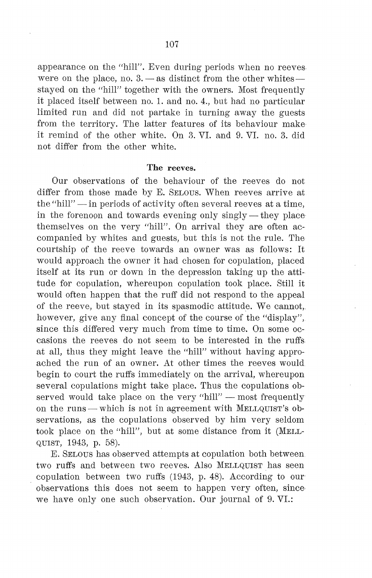appearance on the "hill". Even during periods when no reeves were on the place, no.  $3. -$  as distinct from the other whites $$ stayed on the "hill" together with the owners. Most frequently it placed itself between no. 1. and no. 4., but had no particular limited run and did not partake in turning away the guests from the territory. The latter features of its behaviour make it remind of the other white. On 3. VI. and 9. VI. no. 3. did not differ from the other white.

#### The reeves.

Our observations of the behaviour of the reeves do not differ from those made by E. SELOUS. When reeves arrive at the "hill"  $-$  in periods of activity often several reeves at a time, in the forenoon and towards evening only singly  $-$  they placethemselves on the very "hill". On arrival they are often accompanied by whites and guests, but this is not the rule. The courtship of the reeve towards an owner was as follows: It would approach the owner it had chosen for copulation, placed itself at its run or down in the depression taking up the attitude for copulation, whereupon copulation took place. Still it would often happen that the ruff did not respond to the appeal of the reeve, but stayed in its spasmodic attitude. We cannot, however, give any final concept of the course of the "display", since this differed very much from time to time. On some occasions the reeves do not seem to be interested in the ruffs at all, thus they might leave the "hill" without having approached the run of an owner. At other times the reeves would begin to court the ruffs immediately on the arrival, whereupon several copulations might take place. Thus the copulations observed would take place on the very "hill"  $-$  most frequently on the runs — which is not in agreement with  $MELLQUIST's$  observations, as the copulations observed by him very seldom took place on the "hill", but at some distance from it (MELL-QUIST, 1943, p. 58).

E. SELOUS has observed attempts at copulation both between two ruffs and between two reeves. Also MELLQUIST has seen copulation between two ruffs (1943, p. 48). According to our observations this does not seem to happen very often, since· we have only one such observation. Our journal of 9. VI.: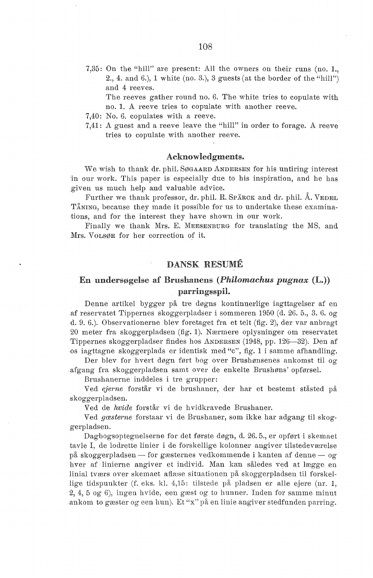7,35: On the "hill" are present: All the owners on their runs (no. 1., 2., 4. and 6.), 1 white (no. 3.), 3 guests (at the border of the "hill") and 4 reeves.

The reeves gather round no. 6. The white tries to copulate with no. 1. A reeve tries to copulate with another reeve.

- 7,40: No. 6. copulates with a reeve.
- 7,41: A guest and a reeve leave the "hill" in order to forage. A reeve tries to copulate with another reeve.

#### Acknowledgments.

We wish to thank dr. phil. SØGAARD ANDERSEN for his untiring interest in our work. This paper is especially due to his inspiration, and he has given us much help and valuable advice.

Further we thank professor, dr. phil. R. SPARCK and dr. phil. Å. VEDEL TÅNING, because they made it possible for us to undertake these examinations, and for the interest they have shown in our work.

Finally we thank Mrs. E. MEESENBURG for translating the MS, and Mrs. VoLSØE for her correction *of* it.

#### DANSK RESUME

### En undersøgelse af Brushanens ( *Philomachus pugnax* (L.)) parringsspil.

Denne artikel bygger på tre døgns kontinuerlige iagttagelser af en af reservatet Tippernes skoggerpladser i sommeren 1950 ( d. 26. 5., 3. 6. og d. 9. 6.). Observationerne blev foretaget fra et telt (fig. 2), der var anbragt 20 meter fra skoggerpladsen (fig. 1). Nærmere oplysninger om reservatet Tippernes skoggerpladser findes hos ANDERSEN (1948, pp. 126-32). Den af os iagttagne skoggerplads er identisk med "c", fig. 1 i samme afhandling.

Der blev for hvert døgn ført bog over Brushønsenes ankomst til og afgang fra skoggerpladsen samt over de enkelte Brushøns' opførsel.

Brushanerne inddeles i tre grupper:

Ved *ejerne* forstår vi de brushaner, der har et bestemt ståsted på skoggerpladsen.

Ved de hvide forstår vi de hvidkravede Brushaner.

Ved *gæsterne* forstaar vi de Brushaner, som ikke har adgang til skoggerpladsen.

Dagbogsoptegnelserne for det første døgn, d. 26. 5., er opført i skemaet tavle I, de lodrette linier i de forskellige kolonner angiver tilstedeværelse på skoggerpladsen — for gæsternes vedkommende i kanten af denne — og hver af linierne angiver et individ. Man kan således ved at lægge en linial tværs over skemaet aflæse situationen på skoggerpladsen til forskellige tidspunkter (f. eks. kl. 4,15: tilstede på pladsen er alle ejere (nr. 1, 2, 4, 5 og· 6), ingen hvide, een gæst og to hunner. Inden for samme minut ankom to gæster og een hun). Et "x" på en linie angiver stedfunden parring.